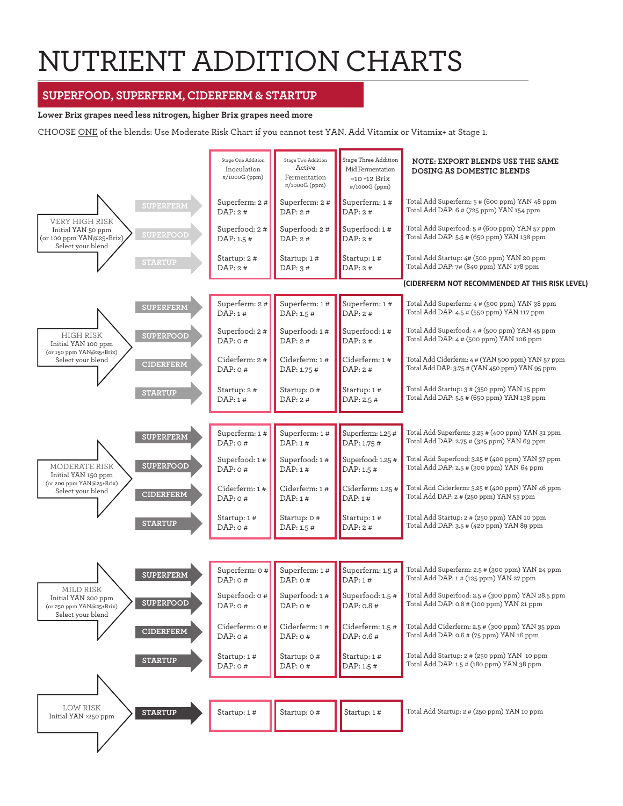# NUTRIENT ADDITION CHARTS

# **SUPERFOOD, SUPERFERM, CIDERFERM & STARTUP**

#### **Lower Brix grapes need less nitrogen, higher Brix grapes need more**

CHOOSE ONE of the blends: Use Moderate Risk Chart if you cannot test YAN. Add Vitamix or Vitamix+ at Stage 1.

|                                                                                                                  | Stage One Addition<br>Inoculation<br>#/1000G (ppm) | Stage Two Addition<br>Active<br>Fermentation<br>#/1000G (ppm) | Stage Three Addition<br>Mid Fermentation<br>$~10$ -12 Brix<br>#/1000G (ppm) | NOTE: EXPORT BLENDS USE THE SAME<br><b>DOSING AS DOMESTIC BLENDS</b>                                |  |
|------------------------------------------------------------------------------------------------------------------|----------------------------------------------------|---------------------------------------------------------------|-----------------------------------------------------------------------------|-----------------------------------------------------------------------------------------------------|--|
| <b>SUPERFERM</b>                                                                                                 | Superferm: 2 #<br>DAP:2#                           | Superferm: 2#<br>DAP:2#                                       | Superferm: 1#<br>DAP: 2#                                                    | Total Add Superferm: 5 # (600 ppm) YAN 48 ppm<br>Total Add DAP: 6 # (725 ppm) YAN 154 ppm           |  |
| <b>VERY HIGH RISK</b><br>Initial YAN 50 ppm<br><b>SUPERFOOD</b><br>(or 100 ppm YAN@25+Brix)<br>Select your blend | Superfood: 2#<br>DAP: 1.5 #                        | Superfood: 2#<br>DAP: 2#                                      | Superfood: 1#<br>DAP: 2#                                                    | Total Add Superfood: 5 # (600 ppm) YAN 57 ppm<br>Total Add DAP: 5.5 # (650 ppm) YAN 138 ppm         |  |
| <b>STARTUP</b>                                                                                                   | Startup: 2 #<br>DAP: 2#                            | Startup: 1#<br>DAP: $3#$                                      | Startup: 1#<br>DAP: 2#                                                      | Total Add Startup: 4# (500 ppm) YAN 20 ppm<br>Total Add DAP: 7# (840 ppm) YAN 178 ppm               |  |
|                                                                                                                  |                                                    |                                                               |                                                                             | (CIDERFERM NOT RECOMMENDED AT THIS RISK LEVEL)                                                      |  |
| <b>SUPERFERM</b>                                                                                                 | Superferm: 2#<br>DAP:1#                            | Superferm: 1#<br>DAP: 1.5 #                                   | Superferm: 1#<br>DAP: 2#                                                    | Total Add Superferm: 4 # (500 ppm) YAN 38 ppm<br>Total Add DAP: 4.5 # (550 ppm) YAN 117 ppm         |  |
| <b>HIGH RISK</b><br><b>SUPERFOOD</b><br>Initial YAN 100 ppm                                                      | Superfood: 2 #<br>$DAP:$ 0#                        | Superfood: 1#<br>DAP: 2#                                      | Superfood: 1#<br>DAP: 2#                                                    | Total Add Superfood: 4 # (500 ppm) YAN 45 ppm<br>Total Add DAP: 4 # (500 ppm) YAN 106 ppm           |  |
| (or 150 ppm YAN@25+Brix)<br>Select your blend<br><b>CIDERFERM</b>                                                | Ciderferm: 2 #<br>$DAP:$ 0#                        | Ciderferm: 1#<br>DAP: 1.75 #                                  | Ciderferm: 1 #<br>DAP: 2#                                                   | Total Add Ciderferm: 4 # (YAN 500 ppm) YAN 57 ppm<br>Total Add DAP: 3.75 # (YAN 450 ppm) YAN 95 ppm |  |
| <b>STARTUP</b>                                                                                                   | Startup: 2 #<br>DAP: 1#                            | Startup: 0 #<br>DAP: 2#                                       | Startup: 1#<br>DAP: 2.5 #                                                   | Total Add Startup: 3 # (350 ppm) YAN 15 ppm<br>Total Add DAP: 5.5 # (650 ppm) YAN 138 ppm           |  |
|                                                                                                                  |                                                    |                                                               |                                                                             |                                                                                                     |  |
| <b>SUPERFERM</b>                                                                                                 | Superferm: 1#<br>$DAP:$ 0#                         | Superferm: 1#<br>DAP:1#                                       | Superferm: 1.25 #<br>DAP: 1.75 #                                            | Total Add Superferm: 3.25 # (400 ppm) YAN 31 ppm<br>Total Add DAP: 2.75 # (325 ppm) YAN 69 ppm      |  |
| <b>SUPERFOOD</b><br>MODERATE RISK<br>Initial YAN 150 ppm                                                         | Superfood: 1#<br>$DAP:$ 0#                         | Superfood: 1#<br>DAP:1#                                       | Superfood: 1.25 #<br>DAP: 1.5 #                                             | Total Add Superfood: 3.25 # (400 ppm) YAN 37 ppm<br>Total Add DAP: 2.5 # (300 ppm) YAN 64 ppm       |  |
| (or 200 ppm YAN@25+Brix)<br>Select your blend<br><b>CIDERFERM</b>                                                | Ciderferm: 1 #<br>$DAP:$ 0#                        | Ciderferm: 1#<br>DAP: 1#                                      | Ciderferm: 1.25 #<br>DAP:1#                                                 | Total Add Ciderferm: 3.25 # (400 ppm) YAN 46 ppm<br>Total Add DAP: 2 # (250 ppm) YAN 53 ppm         |  |
| <b>STARTUP</b>                                                                                                   | Startup: 1#<br>DAP: $0#$                           | Startup: 0 #<br>DAP: 1.5 #                                    | Startup: 1#<br>DAP: 2#                                                      | Total Add Startup: 2 # (250 ppm) YAN 10 ppm<br>Total Add DAP: 3.5 # (420 ppm) YAN 89 ppm            |  |
|                                                                                                                  |                                                    |                                                               |                                                                             |                                                                                                     |  |
| <b>SUPERFERM</b>                                                                                                 | Superferm: 0#<br>DAP: 0#                           | Superferm: 1#<br>$DAP:$ $0#$                                  | Superferm: 1.5 #<br>DAP: 1#                                                 | Total Add Superferm: 2.5 # (300 ppm) YAN 24 ppm<br>Total Add DAP: 1# (125 ppm) YAN 27 ppm           |  |
| <b>MILD RISK</b><br>Initial YAN 200 ppm<br><b>SUPERFOOD</b><br>(or 250 ppm YAN@25+Brix)<br>Select your blend     | Superfood: 0#<br>DAP: $0#$                         | Superfood: 1#<br>DAP: $0#$                                    | Superfood: 1.5 #<br>DAP: 0.8 #                                              | Total Add Superfood: 2.5 # (300 ppm) YAN 28.5 ppm<br>Total Add DAP: 0.8 # (100 ppm) YAN 21 ppm      |  |
| <b>CIDERFERM</b>                                                                                                 | Ciderferm: 0 #<br>$DAP:$ 0#                        | Ciderferm: 1#<br>DAP: $0#$                                    | Ciderferm: 1.5 #<br>DAP: 0.6 #                                              | Total Add Ciderferm: 2.5 # (300 ppm) YAN 35 ppm<br>Total Add DAP: 0.6 # (75 ppm) YAN 16 ppm         |  |
| <b>STARTUP</b>                                                                                                   | Startup: 1 #<br>DAP: 0#                            | Startup: 0 #<br>DAP: 0#                                       | Startup: 1#<br>DAP: 1.5 #                                                   | Total Add Startup: 2 # (250 ppm) YAN 10 ppm<br>Total Add DAP: 1.5 # (180 ppm) YAN 38 ppm            |  |
|                                                                                                                  |                                                    |                                                               |                                                                             |                                                                                                     |  |
| LOW RISK<br><b>STARTUP</b><br>Initial YAN >250 ppm                                                               | Startup: 1#                                        | Startup: 0#                                                   | Startup: 1#                                                                 | Total Add Startup: 2 # (250 ppm) YAN 10 ppm                                                         |  |
|                                                                                                                  |                                                    |                                                               |                                                                             |                                                                                                     |  |